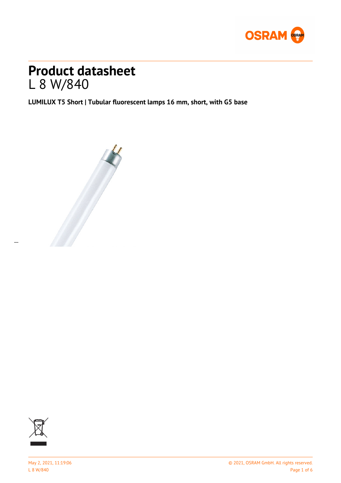

# **Product datasheet** L 8 W/840

**LUMILUX T5 Short | Tubular fluorescent lamps 16 mm, short, with G5 base**





 $\overline{a}$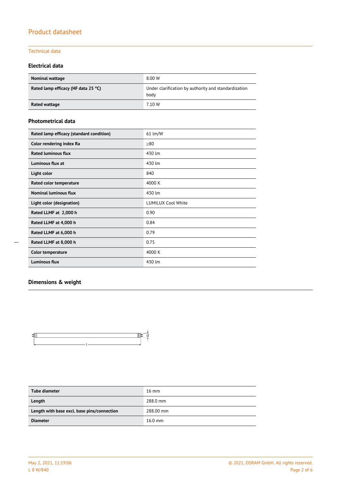### Technical data

### **Electrical data**

| <b>Nominal wattage</b>              | 8.00 W                                                       |
|-------------------------------------|--------------------------------------------------------------|
| Rated lamp efficacy (HF data 25 °C) | Under clarification by authority and standardization<br>body |
| Rated wattage                       | 7.10 W                                                       |

#### **Photometrical data**

| Rated lamp efficacy (standard condition) | 61 lm/W                   |  |
|------------------------------------------|---------------------------|--|
| Color rendering index Ra                 | >80                       |  |
| <b>Rated luminous flux</b>               | 430 lm                    |  |
| Luminous flux at                         | 430 lm                    |  |
| Light color                              | 840                       |  |
| Rated color temperature                  | 4000 K                    |  |
| <b>Nominal luminous flux</b>             | 430 lm                    |  |
| Light color (designation)                | <b>LUMILUX Cool White</b> |  |
| Rated LLMF at 2,000 h                    | 0.90                      |  |
| Rated LLMF at 4,000 h                    | 0.84                      |  |
| Rated LLMF at 6,000 h                    | 0.79                      |  |
| Rated LLMF at 8,000 h                    | 0.75                      |  |
| <b>Color temperature</b>                 | 4000 K                    |  |
| <b>Luminous flux</b>                     | 430 lm                    |  |

### **Dimensions & weight**



| Tube diameter                               | $16 \text{ mm}$ |
|---------------------------------------------|-----------------|
| Length                                      | 288.0 mm        |
| Length with base excl. base pins/connection | 288.00 mm       |
| <b>Diameter</b>                             | $16.0$ mm       |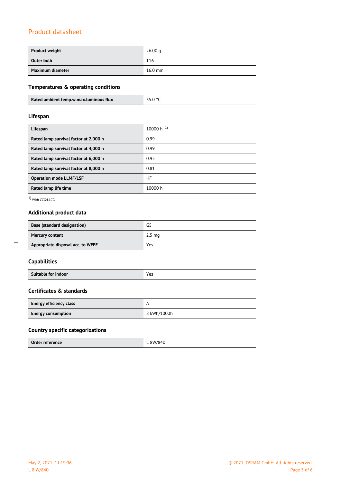| <b>Product weight</b> | 26.00 <sub>a</sub> |
|-----------------------|--------------------|
| Outer bulb            | T <sub>16</sub>    |
| Maximum diameter      | $16.0$ mm          |

### **Temperatures & operating conditions**

|  | 35 N °C<br>Rated ambient temp.w.max.luminous flux |
|--|---------------------------------------------------|
|--|---------------------------------------------------|

### **Lifespan**

| Lifespan                              | 10000 h $^{1}$ ) |
|---------------------------------------|------------------|
| Rated lamp survival factor at 2,000 h | 0.99             |
| Rated lamp survival factor at 4,000 h | 0.99             |
| Rated lamp survival factor at 6,000 h | 0.95             |
| Rated lamp survival factor at 8,000 h | 0.81             |
| <b>Operation mode LLMF/LSF</b>        | HF               |
| Rated lamp life time                  | 10000 h          |

1) With CCG/LLCG

### **Additional product data**

| <b>Base (standard designation)</b> | G5               |
|------------------------------------|------------------|
| <b>Mercury content</b>             | $2.5 \text{ ma}$ |
| Appropriate disposal acc. to WEEE  | Yes              |

| Suitable for indoor<br>. |  |
|--------------------------|--|
|--------------------------|--|

### **Certificates & standards**

| <b>Energy efficiency class</b> |             |
|--------------------------------|-------------|
| <b>Energy consumption</b>      | 8 kWh/1000h |

### **Country specific categorizations**

| Order reference | $R$ $M$ / $R$ $A$ $C$ |
|-----------------|-----------------------|

 $\overline{a}$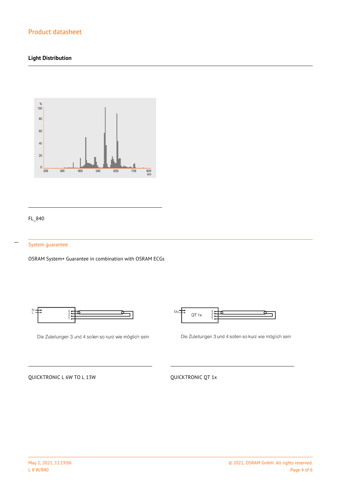### **Light Distribution**



### FL\_840

 $\overline{a}$ 

#### System guarantee

OSRAM System+ Guarantee in combination with OSRAM ECGs



Die Zuleitungen 3 und 4 sollen so kurz wie möglich sein



Die Zuleitungen 3 und 4 sollen so kurz wie möglich sein

QUICKTRONIC L 6W TO L 13W QUICKTRONIC QT 1x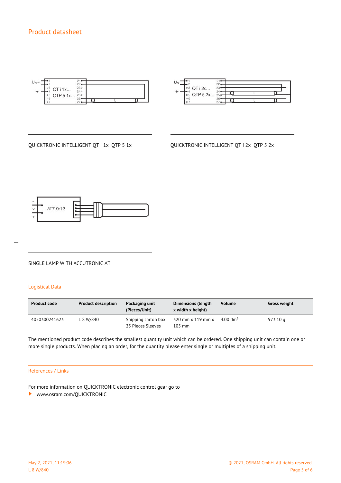

| ° 3 QT i 2x<br>$\circ$ 5 QTP 5 2x | 23'<br>74.<br>$25 -$ |  |
|-----------------------------------|----------------------|--|
| o                                 | 26                   |  |

QUICKTRONIC INTELLIGENT QT i 1x QTP 5 1x QUICKTRONIC INTELLIGENT QT i 2x QTP 5 2x



# $\overline{a}$

#### SINGLE LAMP WITH ACCUTRONIC AT

#### Logistical Data

| <b>Product code</b> | <b>Product description</b> | Packaging unit<br>(Pieces/Unit)          | <b>Dimensions (length</b><br>x width x height) | <b>Volume</b>    | <b>Gross weight</b> |
|---------------------|----------------------------|------------------------------------------|------------------------------------------------|------------------|---------------------|
| 4050300241623       | L 8 W/840                  | Shipping carton box<br>25 Pieces Sleeves | 320 mm x 119 mm x<br>$105$ mm                  | 4.00 $\rm{dm^3}$ | 973.10 g            |

The mentioned product code describes the smallest quantity unit which can be ordered. One shipping unit can contain one or more single products. When placing an order, for the quantity please enter single or multiples of a shipping unit.

#### References / Links

For more information on QUICKTRONIC electronic control gear go to

<www.osram.com/QUICKTRONIC>